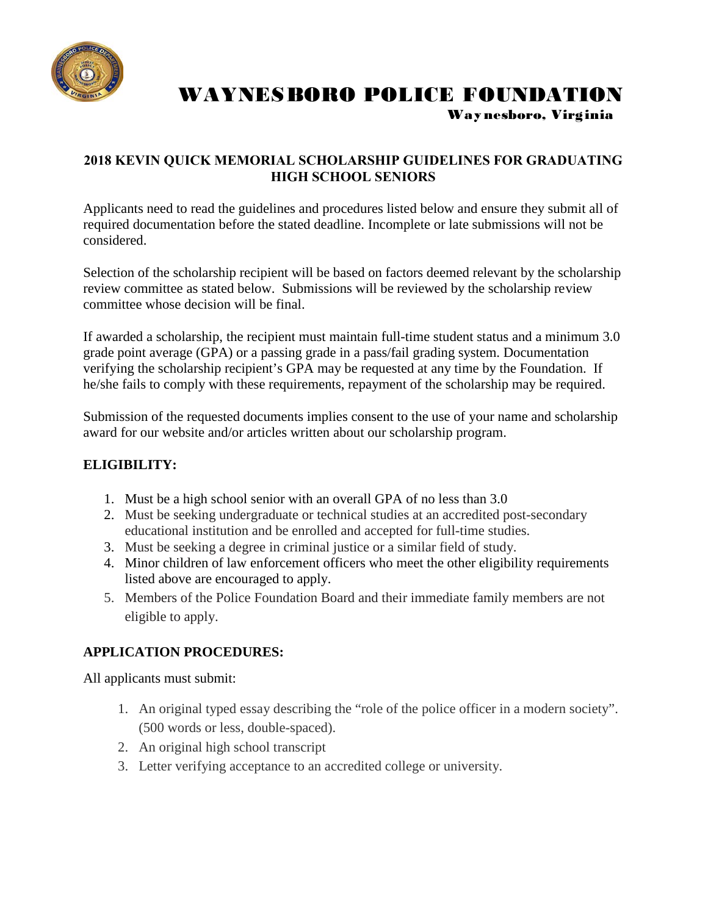

# WAYNESBORO POLICE FOUNDATION Way nesboro, Virginia

### **2018 KEVIN QUICK MEMORIAL SCHOLARSHIP GUIDELINES FOR GRADUATING HIGH SCHOOL SENIORS**

Applicants need to read the guidelines and procedures listed below and ensure they submit all of required documentation before the stated deadline. Incomplete or late submissions will not be considered.

Selection of the scholarship recipient will be based on factors deemed relevant by the scholarship review committee as stated below. Submissions will be reviewed by the scholarship review committee whose decision will be final.

If awarded a scholarship, the recipient must maintain full-time student status and a minimum 3.0 grade point average (GPA) or a passing grade in a pass/fail grading system. Documentation verifying the scholarship recipient's GPA may be requested at any time by the Foundation. If he/she fails to comply with these requirements, repayment of the scholarship may be required.

Submission of the requested documents implies consent to the use of your name and scholarship award for our website and/or articles written about our scholarship program.

# **ELIGIBILITY:**

- 1. Must be a high school senior with an overall GPA of no less than 3.0
- 2. Must be seeking undergraduate or technical studies at an accredited post-secondary educational institution and be enrolled and accepted for full-time studies.
- 3. Must be seeking a degree in criminal justice or a similar field of study.
- 4. Minor children of law enforcement officers who meet the other eligibility requirements listed above are encouraged to apply.
- 5. Members of the Police Foundation Board and their immediate family members are not eligible to apply.

## **APPLICATION PROCEDURES:**

All applicants must submit:

- 1. An original typed essay describing the "role of the police officer in a modern society". (500 words or less, double-spaced).
- 2. An original high school transcript
- 3. Letter verifying acceptance to an accredited college or university.